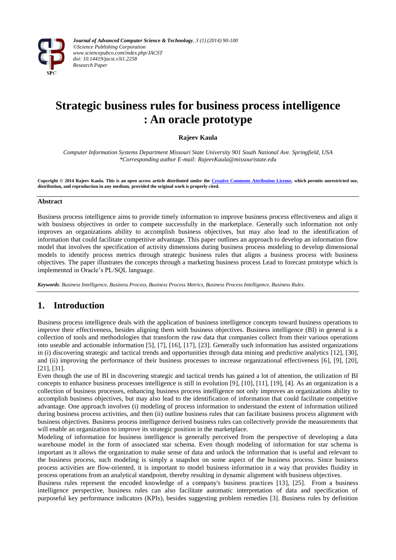

# **Strategic business rules for business process intelligence : An oracle prototype**

## **Rajeev Kaula**

*Computer Information Systems Department Missouri State University 901 South National Ave. Springfield, USA \*Corresponding author E-mail: RajeevKaula@missouristate.edu*

**Copyright © 2014 Rajeev Kaula. This is an open access article distributed under the [Creative Commons Attribution License,](http://creativecommons.org/licenses/by/3.0/) which permits unrestricted use, distribution, and reproduction in any medium, provided the original work is properly cited.**

#### **Abstract**

Business process intelligence aims to provide timely information to improve business process effectiveness and align it with business objectives in order to compete successfully in the marketplace. Generally such information not only improves an organizations ability to accomplish business objectives, but may also lead to the identification of information that could facilitate competitive advantage. This paper outlines an approach to develop an information flow model that involves the specification of activity dimensions during business process modeling to develop dimensional models to identify process metrics through strategic business rules that aligns a business process with business objectives. The paper illustrates the concepts through a marketing business process Lead to forecast prototype which is implemented in Oracle's PL/SQL language.

*Keywords*: *Business Intelligence, Business Process, Business Process Metrics, Business Process Intelligence, Business Rules.*

# **1. Introduction**

Business process intelligence deals with the application of business intelligence concepts toward business operations to improve their effectiveness, besides aligning them with business objectives. Business intelligence (BI) in general is a collection of tools and methodologies that transform the raw data that companies collect from their various operations into useable and actionable information [5], [7], [16], [17], [23]. Generally such information has assisted organizations in (i) discovering strategic and tactical trends and opportunities through data mining and predictive analytics [12], [30], and (ii) improving the performance of their business processes to increase organizational effectiveness [6], [9], [20], [21], [31].

Even though the use of BI in discovering strategic and tactical trends has gained a lot of attention, the utilization of BI concepts to enhance business processes intelligence is still in evolution [9], [10], [11], [19], [4]. As an organization is a collection of business processes, enhancing business process intelligence not only improves an organizations ability to accomplish business objectives, but may also lead to the identification of information that could facilitate competitive advantage. One approach involves (i) modeling of process information to understand the extent of information utilized during business process activities, and then (ii) outline business rules that can facilitate business process alignment with business objectives. Business process intelligence derived business rules can collectively provide the measurements that will enable an organization to improve its strategic position in the marketplace.

Modeling of information for business intelligence is generally perceived from the perspective of developing a data warehouse model in the form of associated star schema. Even though modeling of information for star schema is important as it allows the organization to make sense of data and unlock the information that is useful and relevant to the business process, such modeling is simply a snapshot on some aspect of the business process. Since business process activities are flow-oriented, it is important to model business information in a way that provides fluidity in process operations from an analytical standpoint, thereby resulting in dynamic alignment with business objectives.

Business rules represent the encoded knowledge of a company's business practices [13], [25]. From a business intelligence perspective, business rules can also facilitate automatic interpretation of data and specification of purposeful key performance indicators (KPIs), besides suggesting problem remedies [3]. Business rules by definition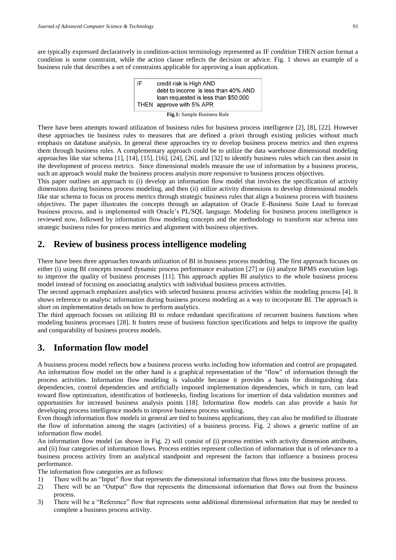are typically expressed declaratively in condition-action terminology represented as IF *condition* THEN *action* format a condition is some constraint, while the action clause reflects the decision or advice. Fig. 1 shows an example of a business rule that describes a set of constraints applicable for approving a loan application.

| credit risk is High AND              |  |  |
|--------------------------------------|--|--|
| debt to income is less than 40% AND  |  |  |
| loan requested is less than \$50,000 |  |  |
| THEN approve with 5% APR             |  |  |
|                                      |  |  |

**Fig.1:** Sample Business Rule

There have been attempts toward utilization of business rules for business process intelligence [2], [8], [22]. However these approaches tie business rules to measures that are defined a priori through existing policies without much emphasis on database analysis. In general these approaches try to develop business process metrics and then express them through business rules. A complementary approach could be to utilize the data warehouse dimensional modeling approaches like star schema [1], [14], [15], [16], [24], [26], and [32] to identify business rules which can then assist in the development of process metrics. Since dimensional models measure the use of information by a business process, such an approach would make the business process analysis more responsive to business process objectives.

This paper outlines an approach to (i) develop an information flow model that involves the specification of activity dimensions during business process modeling, and then (ii) utilize activity dimensions to develop dimensional models like star schema to focus on process metrics through strategic business rules that align a business process with business objectives. The paper illustrates the concepts through an adaptation of Oracle E-Business Suite Lead to forecast business process, and is implemented with Oracle's PL/SQL language. Modeling for business process intelligence is reviewed now, followed by information flow modeling concepts and the methodology to transform star schema into strategic business rules for process metrics and alignment with business objectives.

## **2. Review of business process intelligence modeling**

There have been three approaches towards utilization of BI in business process modeling. The first approach focuses on either (i) using BI concepts toward dynamic process performance evaluation [27] or (ii) analyze BPMS execution logs to improve the quality of business processes [11]. This approach applies BI analytics to the whole business process model instead of focusing on associating analytics with individual business process activities.

The second approach emphasizes analytics with selected business process activities within the modeling process [4]. It shows reference to analytic information during business process modeling as a way to incorporate BI. The approach is short on implementation details on how to perform analytics.

The third approach focuses on utilizing BI to reduce redundant specifications of recurrent business functions when modeling business processes [28]. It fosters reuse of business function specifications and helps to improve the quality and comparability of business process models.

# **3. Information flow model**

A business process model reflects how a business process works including how information and control are propagated. An information flow model on the other hand is a graphical representation of the "flow" of information through the process activities. Information flow modeling is valuable because it provides a basis for distinguishing data dependencies, control dependencies and artificially imposed implementation dependencies, which in turn, can lead toward flow optimization, identification of bottlenecks, finding locations for insertion of data validation monitors and opportunities for increased business analysis points [18]. Information flow models can also provide a basis for developing process intelligence models to improve business process working.

Even though information flow models in general are tied to business applications, they can also be modified to illustrate the flow of information among the stages (activities) of a business process. Fig. 2 shows a generic outline of an information flow model.

An information flow model (as shown in Fig. 2) will consist of (i) process entities with activity dimension attributes, and (ii) four categories of information flows. Process entities represent collection of information that is of relevance to a business process activity from an analytical standpoint and represent the factors that influence a business process performance.

The information flow categories are as follows:

- 1) There will be an "Input" flow that represents the dimensional information that flows into the business process.
- 2) There will be an "Output" flow that represents the dimensional information that flows out from the business process.
- 3) There will be a "Reference" flow that represents some additional dimensional information that may be needed to complete a business process activity.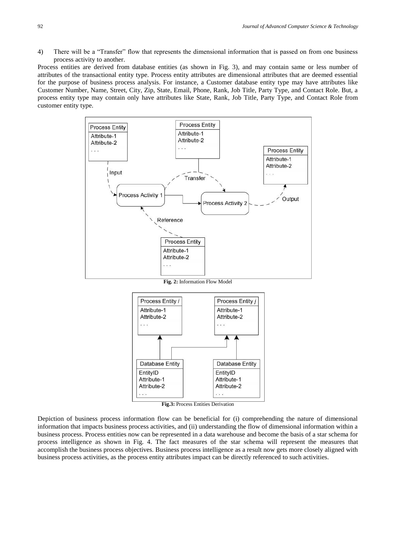4) There will be a "Transfer" flow that represents the dimensional information that is passed on from one business process activity to another.

Process entities are derived from database entities (as shown in Fig. 3), and may contain same or less number of attributes of the transactional entity type. Process entity attributes are dimensional attributes that are deemed essential for the purpose of business process analysis. For instance, a Customer database entity type may have attributes like Customer Number, Name, Street, City, Zip, State, Email, Phone, Rank, Job Title, Party Type, and Contact Role. But, a process entity type may contain only have attributes like State, Rank, Job Title, Party Type, and Contact Role from customer entity type.



**Fig. 2:** Information Flow Model



**Fig.3:** Process Entities Derivation

Depiction of business process information flow can be beneficial for (i) comprehending the nature of dimensional information that impacts business process activities, and (ii) understanding the flow of dimensional information within a business process. Process entities now can be represented in a data warehouse and become the basis of a star schema for process intelligence as shown in Fig. 4. The fact measures of the star schema will represent the measures that accomplish the business process objectives. Business process intelligence as a result now gets more closely aligned with business process activities, as the process entity attributes impact can be directly referenced to such activities.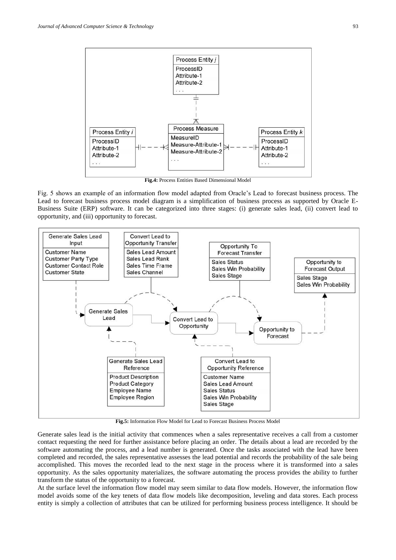

**Fig.4:** Process Entities Based Dimensional Model

Fig. 5 shows an example of an information flow model adapted from Oracle's Lead to forecast business process. The Lead to forecast business process model diagram is a simplification of business process as supported by Oracle E-Business Suite (ERP) software. It can be categorized into three stages: (i) generate sales lead, (ii) convert lead to opportunity, and (iii) opportunity to forecast.



**Fig.5:** Information Flow Model for Lead to Forecast Business Process Model

Generate sales lead is the initial activity that commences when a sales representative receives a call from a customer contact requesting the need for further assistance before placing an order. The details about a lead are recorded by the software automating the process, and a lead number is generated. Once the tasks associated with the lead have been completed and recorded, the sales representative assesses the lead potential and records the probability of the sale being accomplished. This moves the recorded lead to the next stage in the process where it is transformed into a sales opportunity. As the sales opportunity materializes, the software automating the process provides the ability to further transform the status of the opportunity to a forecast.

At the surface level the information flow model may seem similar to data flow models. However, the information flow model avoids some of the key tenets of data flow models like decomposition, leveling and data stores. Each process entity is simply a collection of attributes that can be utilized for performing business process intelligence. It should be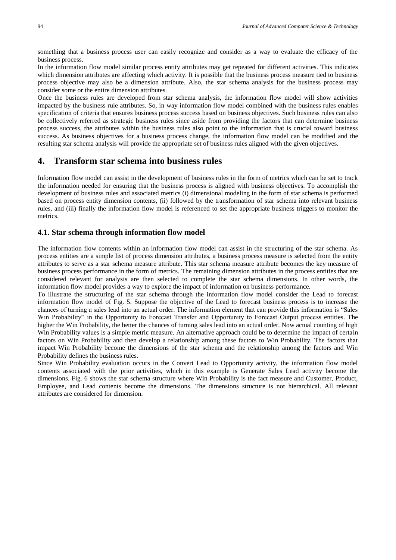something that a business process user can easily recognize and consider as a way to evaluate the efficacy of the business process.

In the information flow model similar process entity attributes may get repeated for different activities. This indicates which dimension attributes are affecting which activity. It is possible that the business process measure tied to business process objective may also be a dimension attribute. Also, the star schema analysis for the business process may consider some or the entire dimension attributes.

Once the business rules are developed from star schema analysis, the information flow model will show activities impacted by the business rule attributes. So, in way information flow model combined with the business rules enables specification of criteria that ensures business process success based on business objectives. Such business rules can also be collectively referred as strategic business rules since aside from providing the factors that can determine business process success, the attributes within the business rules also point to the information that is crucial toward business success. As business objectives for a business process change, the information flow model can be modified and the resulting star schema analysis will provide the appropriate set of business rules aligned with the given objectives.

## **4. Transform star schema into business rules**

Information flow model can assist in the development of business rules in the form of metrics which can be set to track the information needed for ensuring that the business process is aligned with business objectives. To accomplish the development of business rules and associated metrics (i) dimensional modeling in the form of star schema is performed based on process entity dimension contents, (ii) followed by the transformation of star schema into relevant business rules, and (iii) finally the information flow model is referenced to set the appropriate business triggers to monitor the metrics.

## **4.1. Star schema through information flow model**

The information flow contents within an information flow model can assist in the structuring of the star schema. As process entities are a simple list of process dimension attributes, a business process measure is selected from the entity attributes to serve as a star schema measure attribute. This star schema measure attribute becomes the key measure of business process performance in the form of metrics. The remaining dimension attributes in the process entities that are considered relevant for analysis are then selected to complete the star schema dimensions. In other words, the information flow model provides a way to explore the impact of information on business performance.

To illustrate the structuring of the star schema through the information flow model consider the Lead to forecast information flow model of Fig. 5. Suppose the objective of the Lead to forecast business process is to increase the chances of turning a sales lead into an actual order. The information element that can provide this information is "Sales Win Probability" in the Opportunity to Forecast Transfer and Opportunity to Forecast Output process entities. The higher the Win Probability, the better the chances of turning sales lead into an actual order. Now actual counting of high Win Probability values is a simple metric measure. An alternative approach could be to determine the impact of certain factors on Win Probability and then develop a relationship among these factors to Win Probability. The factors that impact Win Probability become the dimensions of the star schema and the relationship among the factors and Win Probability defines the business rules.

Since Win Probability evaluation occurs in the Convert Lead to Opportunity activity, the information flow model contents associated with the prior activities, which in this example is Generate Sales Lead activity become the dimensions. Fig. 6 shows the star schema structure where Win Probability is the fact measure and Customer, Product, Employee, and Lead contents become the dimensions. The dimensions structure is not hierarchical. All relevant attributes are considered for dimension.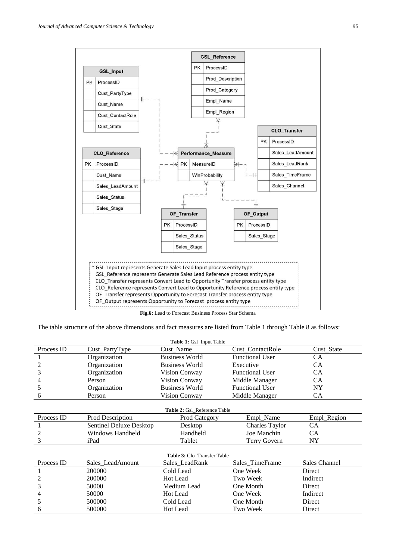

**Fig.6:** Lead to Forecast Business Process Star Schema

The table structure of the above dimensions and fact measures are listed from Table 1 through Table 8 as follows:

| Table 1: Gsl_Input Table     |                         |                       |                        |               |
|------------------------------|-------------------------|-----------------------|------------------------|---------------|
| Process ID                   | Cust_PartyType          | Cust_Name             | Cust_ContactRole       | Cust_State    |
|                              | Organization            | <b>Business World</b> | <b>Functional User</b> | СA            |
|                              | Organization            | <b>Business World</b> | Executive              | CA            |
| 3                            | Organization            | Vision Conway         | <b>Functional User</b> | <b>CA</b>     |
| 4                            | Person                  | Vision Conway         | Middle Manager         | <b>CA</b>     |
| 5                            | Organization            | <b>Business World</b> | <b>Functional User</b> | <b>NY</b>     |
| 6                            | Person                  | Vision Conway         | Middle Manager         | <b>CA</b>     |
|                              |                         |                       |                        |               |
| Table 2: Gsl_Reference Table |                         |                       |                        |               |
| Process ID                   | Prod Description        | Prod Category         | Empl_Name              | Empl_Region   |
|                              | Sentinel Deluxe Desktop | Desktop               | Charles Taylor         | <b>CA</b>     |
| 2                            | Windows Handheld        | Handheld              | Joe Manchin            | CA            |
| 3                            | iPad                    | Tablet                | Terry Govern           | <b>NY</b>     |
|                              |                         |                       |                        |               |
| Table 3: Clo_Transfer Table  |                         |                       |                        |               |
| Process ID                   | Sales_LeadAmount        | Sales_LeadRank        | Sales_TimeFrame        | Sales Channel |
|                              | 200000                  | Cold Lead             | One Week               | Direct        |
| 2                            | 200000                  | Hot Lead              | Two Week               | Indirect      |
| 3                            | 50000                   | Medium Lead           | One Month              | Direct        |
| 4                            | 50000                   | Hot Lead              | One Week               | Indirect      |
| 5                            | 500000                  | Cold Lead             | One Month              | Direct        |
| 6                            | 500000                  | <b>Hot Lead</b>       | Two Week               | Direct        |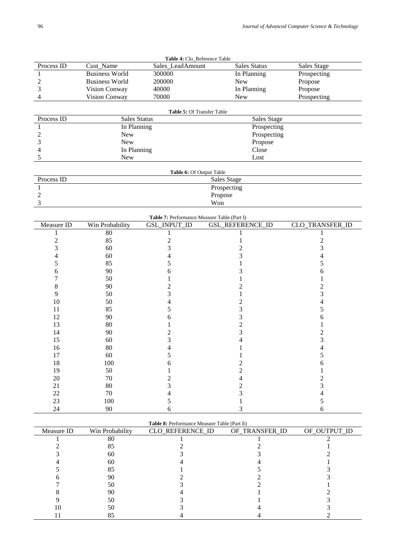|                | Table 4: Clo_Reference Table |                                             |                          |                          |  |  |
|----------------|------------------------------|---------------------------------------------|--------------------------|--------------------------|--|--|
| Process ID     | Cust_Name                    | Sales_LeadAmount                            | <b>Sales Status</b>      | Sales Stage              |  |  |
| 1              | <b>Business World</b>        | 300000                                      | In Planning              | Prospecting              |  |  |
| $\overline{c}$ | <b>Business World</b>        | 200000                                      | New                      | Propose                  |  |  |
| 3              | Vision Conway                | 40000                                       | In Planning              | Propose                  |  |  |
| $\overline{4}$ | Vision Conway                | 70000                                       | ${\hbox{New}}$           | Prospecting              |  |  |
|                |                              |                                             |                          |                          |  |  |
|                |                              | Table 5: Of Transfer Table                  |                          |                          |  |  |
| Process ID     | <b>Sales Status</b>          |                                             | Sales Stage              |                          |  |  |
| 1              | In Planning                  |                                             | Prospecting              |                          |  |  |
| $\overline{c}$ | <b>New</b>                   |                                             | Prospecting              |                          |  |  |
| 3              | New                          |                                             | Propose                  |                          |  |  |
| 4              | In Planning                  |                                             | Close                    |                          |  |  |
| 5              | <b>New</b>                   |                                             | Lost                     |                          |  |  |
|                |                              | Table 6: Of Output Table                    |                          |                          |  |  |
| Process ID     |                              |                                             | <b>Sales Stage</b>       |                          |  |  |
| 1              |                              |                                             | Prospecting              |                          |  |  |
| $\overline{c}$ |                              |                                             | Propose                  |                          |  |  |
| 3              |                              |                                             | Won                      |                          |  |  |
|                |                              |                                             |                          |                          |  |  |
|                |                              | Table 7: Performance Measure Table (Part I) |                          |                          |  |  |
| Measure ID     | Win Probability              | GSL_INPUT_ID                                | GSL_REFERENCE_ID         | CLO_TRANSFER_ID          |  |  |
| $\,1$          | $80\,$                       | $\mathbf{1}$                                | 1                        | $\,1\,$                  |  |  |
| $\overline{c}$ | 85                           | $\overline{c}$                              | $\mathbf{1}$             | $\overline{2}$           |  |  |
| 3              | 60                           | 3                                           | $\overline{2}$           | 3                        |  |  |
| 4              | 60                           | 4                                           | 3                        | $\overline{4}$           |  |  |
| 5              | 85                           | 5                                           | $\mathbf{1}$             | $\sqrt{5}$               |  |  |
| 6              | 90                           | 6                                           | 3                        | 6                        |  |  |
| 7              | 50                           | 1                                           | $\mathbf{1}$             | $\mathbf{1}$             |  |  |
| $8\,$          | 90                           | $\overline{c}$                              | $\overline{c}$           | $\overline{c}$           |  |  |
| 9              | 50                           | 3                                           | $\mathbf{1}$             | 3                        |  |  |
| 10             | 50                           | 4                                           | $\overline{c}$           | $\overline{\mathbf{4}}$  |  |  |
| 11             | 85                           | 5                                           | 3                        | 5                        |  |  |
| 12             | 90                           | 6                                           | 3                        | $\sqrt{6}$               |  |  |
| 13             | 80                           | $\mathbf{1}$                                | $\overline{c}$           | $\mathbf{1}$             |  |  |
| 14             | 90                           | 2                                           | 3                        | $\overline{c}$           |  |  |
| 15             | 60                           | 3                                           | $\overline{\mathbf{4}}$  | 3                        |  |  |
| 16             | 80                           | 4                                           | $\mathbf{1}$             | $\overline{\mathbf{4}}$  |  |  |
| 17             | 60                           | 5                                           | 1                        | 5                        |  |  |
| 18             | 100                          | 6                                           | $\overline{c}$           | $\sqrt{6}$               |  |  |
| 19             | 50                           | 1                                           | $\overline{c}$           | 1                        |  |  |
| 20             | $70\,$                       | 2                                           | $\overline{\mathcal{L}}$ | $\overline{c}$           |  |  |
| 21             | 80                           | 3                                           | $\overline{c}$           | 3                        |  |  |
| 22             | 70                           | 4                                           | 3                        | $\overline{\mathcal{L}}$ |  |  |
| 23             | 100                          | 5                                           | $\mathbf{1}$             | 5                        |  |  |

| Table 8: Performance Measure Table (Part Ii) |                 |                  |                |              |
|----------------------------------------------|-----------------|------------------|----------------|--------------|
| Measure ID                                   | Win Probability | CLO_REFERENCE_ID | OF_TRANSFER_ID | OF_OUTPUT_ID |
|                                              | 80              |                  |                |              |
|                                              | 85              |                  |                |              |
|                                              | 60              |                  |                |              |
|                                              | 60              |                  |                |              |
|                                              | 85              |                  |                |              |
|                                              | 90              |                  |                |              |
|                                              | 50              |                  |                |              |
|                                              | 90              |                  |                |              |
|                                              | 50              |                  |                |              |
|                                              | C               |                  |                |              |
|                                              | 85              |                  |                |              |

24 90 6 3 6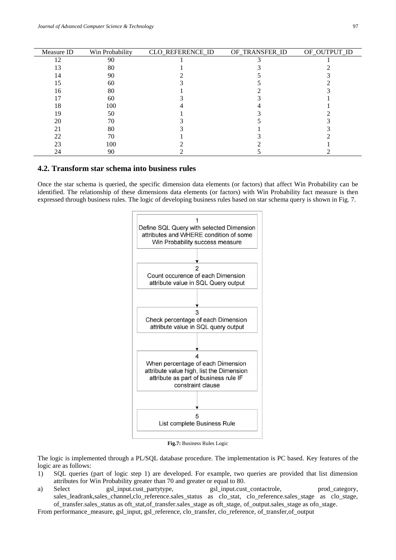| Measure ID | Win Probability | CLO_REFERENCE_ID | OF_TRANSFER_ID | OF_OUTPUT_ID |
|------------|-----------------|------------------|----------------|--------------|
| 12         | 90              |                  |                |              |
| 13         | 80              |                  |                |              |
| 14         | 90              |                  |                |              |
| 15         | 60              |                  |                |              |
| 16         | 80              |                  |                |              |
|            | 60              |                  |                |              |
| 18         | 100             |                  |                |              |
| 19         | 50              |                  |                |              |
| 20         | 70              |                  |                |              |
| 21         | 80              |                  |                |              |
| 22         | 70              |                  |                |              |
| 23         | 100             |                  |                |              |
| 24         | 90              |                  |                |              |

### **4.2. Transform star schema into business rules**

Once the star schema is queried, the specific dimension data elements (or factors) that affect Win Probability can be identified. The relationship of these dimensions data elements (or factors) with Win Probability fact measure is then expressed through business rules. The logic of developing business rules based on star schema query is shown in Fig. 7.



**Fig.7:** Business Rules Logic

The logic is implemented through a PL/SQL database procedure. The implementation is PC based. Key features of the logic are as follows:

- 1) SQL queries (part of logic step 1) are developed. For example, two queries are provided that list dimension attributes for Win Probability greater than 70 and greater or equal to 80.
- a) Select gsl\_input.cust\_partytype, gsl\_input.cust\_contactrole, prod\_category, sales\_leadrank,sales\_channel,clo\_reference.sales\_status as clo\_stat, clo\_reference.sales\_stage as clo\_stage, of\_transfer.sales\_status as oft\_stat,of\_transfer.sales\_stage as oft\_stage, of\_output.sales\_stage as ofo\_stage.

From performance\_measure, gsl\_input, gsl\_reference, clo\_transfer, clo\_reference, of\_transfer,of\_output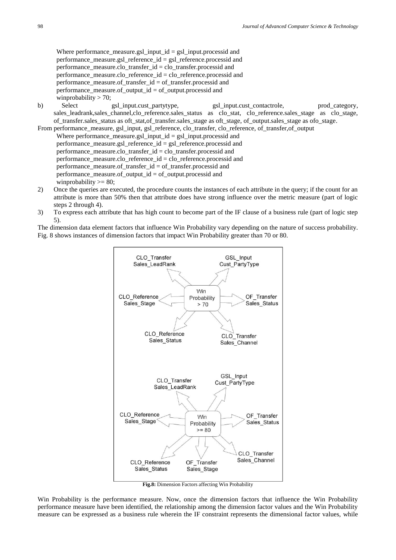Where performance\_measure.gsl\_input\_id = gsl\_input.processid and performance\_measure.gsl\_reference\_id = gsl\_reference.processid and performance measure.clo transfer  $id = clo$  transfer.processid and performance\_measure.clo\_reference\_id = clo\_reference.processid and performance\_measure.of\_transfer\_id = of\_transfer.processid and performance\_measure.of\_output\_id = of\_output.processid and winprobability  $> 70$ ;<br>Select

- b) Select gsl\_input.cust\_partytype, gsl\_input.cust\_contactrole, prod\_category, sales\_leadrank,sales\_channel,clo\_reference.sales\_status as clo\_stat, clo\_reference.sales\_stage as clo\_stage, of\_transfer.sales\_status as oft\_stat,of\_transfer.sales\_stage as oft\_stage, of\_output.sales\_stage as ofo\_stage.
- From performance\_measure, gsl\_input, gsl\_reference, clo\_transfer, clo\_reference, of\_transfer,of\_output Where performance measure.gsl input  $id = gsl$  input.processid and performance measure.gsl reference  $id = gsl$  reference.processid and performance measure.clo\_transfer\_id = clo\_transfer.processid and performance measure.clo reference  $id = clo$  reference.processid and performance\_measure.of\_transfer\_id = of\_transfer.processid and performance\_measure.of\_output\_id = of\_output.processid and winprobability  $>= 80$ ;
- 2) Once the queries are executed, the procedure counts the instances of each attribute in the query; if the count for an attribute is more than 50% then that attribute does have strong influence over the metric measure (part of logic steps 2 through 4).
- 3) To express each attribute that has high count to become part of the IF clause of a business rule (part of logic step 5).

The dimension data element factors that influence Win Probability vary depending on the nature of success probability. Fig. 8 shows instances of dimension factors that impact Win Probability greater than 70 or 80.



Win Probability is the performance measure. Now, once the dimension factors that influence the Win Probability performance measure have been identified, the relationship among the dimension factor values and the Win Probability measure can be expressed as a business rule wherein the IF constraint represents the dimensional factor values, while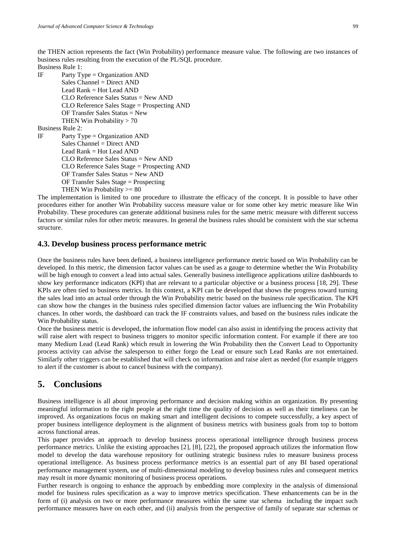the THEN action represents the fact (Win Probability) performance measure value. The following are two instances of business rules resulting from the execution of the PL/SQL procedure. Business Rule 1:

```
IF Party Type = Organization AND
       Sales Channel = Direct AND
       Lead Rank = Hot Lead AND
       CLO Reference Sales Status = New AND
       CLO Reference Sales Stage = Prospecting AND
       OF Transfer Sales Status = New 
       THEN Win Probability > 70
Business Rule 2:
IF Party Type = Organization AND
       Sales Channel = Direct AND
       Lead Rank = Hot Lead AND
       CLO Reference Sales Status = New AND
       CLO Reference Sales Stage = Prospecting AND
       OF Transfer Sales Status = New AND
       OF Transfer Sales Stage = Prospecting 
       THEN Win Probability >= 80
```
The implementation is limited to one procedure to illustrate the efficacy of the concept. It is possible to have other procedures either for another Win Probability success measure value or for some other key metric measure like Win Probability. These procedures can generate additional business rules for the same metric measure with different success factors or similar rules for other metric measures. In general the business rules should be consistent with the star schema structure.

### **4.3. Develop business process performance metric**

Once the business rules have been defined, a business intelligence performance metric based on Win Probability can be developed. In this metric, the dimension factor values can be used as a gauge to determine whether the Win Probability will be high enough to convert a lead into actual sales. Generally business intelligence applications utilize dashboards to show key performance indicators (KPI) that are relevant to a particular objective or a business process [18, 29]. These KPIs are often tied to business metrics. In this context, a KPI can be developed that shows the progress toward turning the sales lead into an actual order through the Win Probability metric based on the business rule specification. The KPI can show how the changes in the business rules specified dimension factor values are influencing the Win Probability chances. In other words, the dashboard can track the IF constraints values, and based on the business rules indicate the Win Probability status.

Once the business metric is developed, the information flow model can also assist in identifying the process activity that will raise alert with respect to business triggers to monitor specific information content. For example if there are too many Medium Lead (Lead Rank) which result in lowering the Win Probability then the Convert Lead to Opportunity process activity can advise the salesperson to either forgo the Lead or ensure such Lead Ranks are not entertained. Similarly other triggers can be established that will check on information and raise alert as needed (for example triggers to alert if the customer is about to cancel business with the company).

# **5. Conclusions**

Business intelligence is all about improving performance and decision making within an organization. By presenting meaningful information to the right people at the right time the quality of decision as well as their timeliness can be improved. As organizations focus on making smart and intelligent decisions to compete successfully, a key aspect of proper business intelligence deployment is the alignment of business metrics with business goals from top to bottom across functional areas.

This paper provides an approach to develop business process operational intelligence through business process performance metrics. Unlike the existing approaches [2], [8], [22], the proposed approach utilizes the information flow model to develop the data warehouse repository for outlining strategic business rules to measure business process operational intelligence. As business process performance metrics is an essential part of any BI based operational performance management system, use of multi-dimensional modeling to develop business rules and consequent metrics may result in more dynamic monitoring of business process operations.

Further research is ongoing to enhance the approach by embedding more complexity in the analysis of dimensional model for business rules specification as a way to improve metrics specification. These enhancements can be in the form of (i) analysis on two or more performance measures within the same star schema including the impact such performance measures have on each other, and (ii) analysis from the perspective of family of separate star schemas or